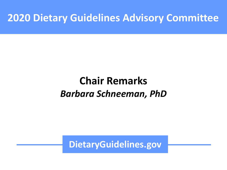#### ZU DICTAI Y GUIUCINICS AUVISUI **2020 Dietary Guidelines Advisory Committee**

#### **Chair Remarks** *Barbara Schneeman, PhD*

**DietaryGuidelines.gov**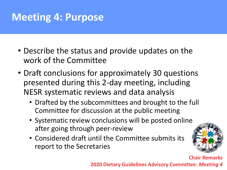## **Meeting 4: Purpose**

- Describe the status and provide updates on the work of the Committee
- Draft conclusions for approximately 30 questions presented during this 2-day meeting, including NESR systematic reviews and data analysis
	- Drafted by the subcommittees and brought to the full Committee for discussion at the public meeting
	- Systematic review conclusions will be posted online after going through peer-review
	- Considered draft until the Committee submits its report to the Secretaries



**Chair Remarks 2020 Dietary Guidelines Advisory Committee:** *Meeting 4*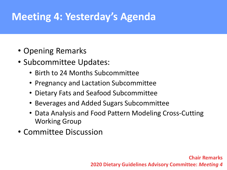## **Meeting 4: Yesterday's Agenda**

- Opening Remarks
- Subcommittee Updates:
	- Birth to 24 Months Subcommittee
	- Pregnancy and Lactation Subcommittee
	- Dietary Fats and Seafood Subcommittee
	- Beverages and Added Sugars Subcommittee
	- Data Analysis and Food Pattern Modeling Cross-Cutting Working Group
- Committee Discussion

**Chair Remarks 2020 Dietary Guidelines Advisory Committee:** *Meeting 4*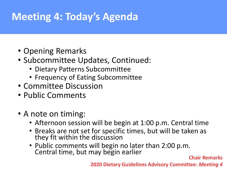# **Meeting 4: Today's Agenda**

- Opening Remarks
- Subcommittee Updates, Continued:
	- Dietary Patterns Subcommittee
	- Frequency of Eating Subcommittee
- Committee Discussion
- Public Comments
- A note on timing:
	- Afternoon session will be begin at 1:00 p.m. Central time
	- Breaks are not set for specific times, but will be taken as they fit within the discussion
	- Public comments will begin no later than 2:00 p.m. Central time, but may begin earlier **Chair Remarks**

**2020 Dietary Guidelines Advisory Committee:** *Meeting 4*